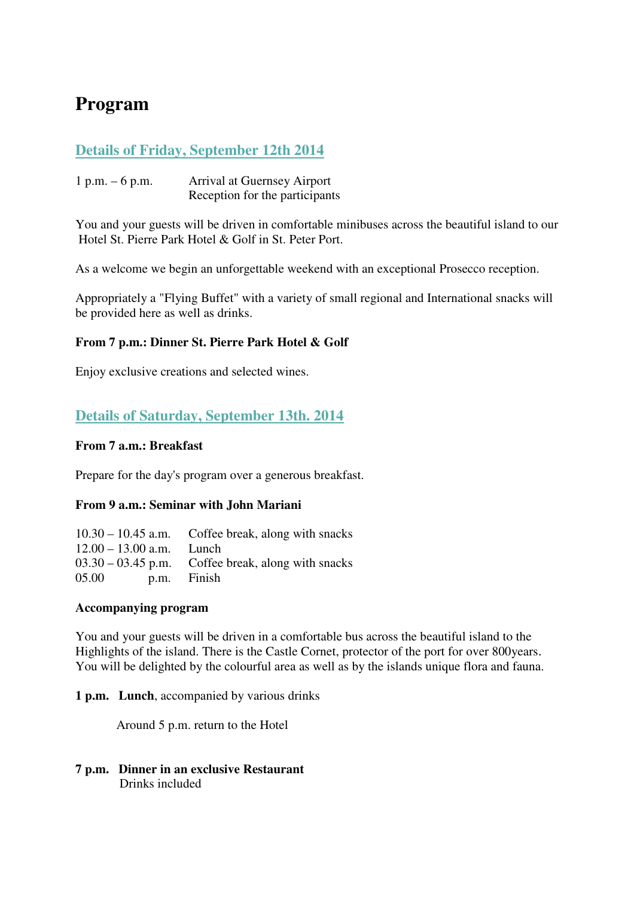# **Program**

# **Details of Friday, September 12th 2014**

1 p.m. – 6 p.m. Arrival at Guernsey Airport Reception for the participants

You and your guests will be driven in comfortable minibuses across the beautiful island to our Hotel St. Pierre Park Hotel & Golf in St. Peter Port.

As a welcome we begin an unforgettable weekend with an exceptional Prosecco reception.

Appropriately a "Flying Buffet" with a variety of small regional and International snacks will be provided here as well as drinks.

## **From 7 p.m.: Dinner St. Pierre Park Hotel & Golf**

Enjoy exclusive creations and selected wines.

## **Details of Saturday, September 13th. 2014**

#### **From 7 a.m.: Breakfast**

Prepare for the day's program over a generous breakfast.

#### **From 9 a.m.: Seminar with John Mariani**

|                            | $10.30 - 10.45$ a.m. Coffee break, along with snacks |
|----------------------------|------------------------------------------------------|
| $12.00 - 13.00$ a.m. Lunch |                                                      |
|                            | $03.30 - 03.45$ p.m. Coffee break, along with snacks |
| 05.00                      | p.m. Finish                                          |

#### **Accompanying program**

You and your guests will be driven in a comfortable bus across the beautiful island to the Highlights of the island. There is the Castle Cornet, protector of the port for over 800years. You will be delighted by the colourful area as well as by the islands unique flora and fauna.

**1 p.m. Lunch**, accompanied by various drinks

Around 5 p.m. return to the Hotel

**7 p.m. Dinner in an exclusive Restaurant** Drinks included